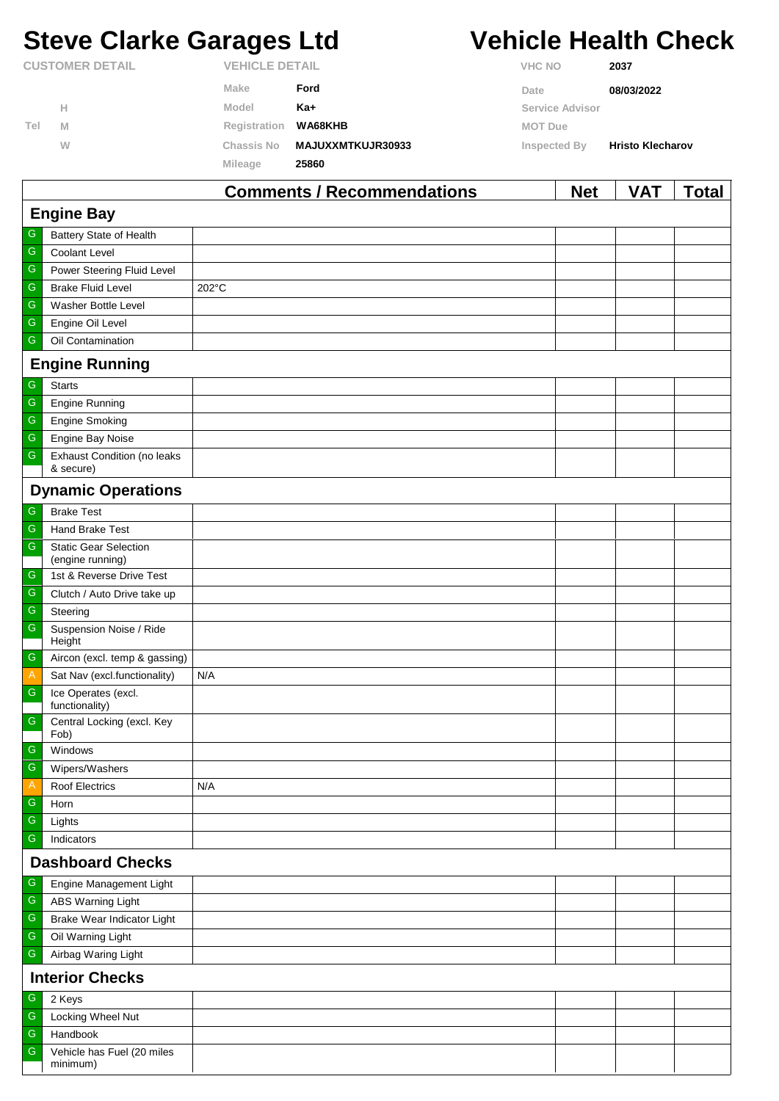# **Steve Clarke Garages Ltd Vehicle Health Check**

|                        |   |              | Commonte / Decommondations | <b>NIA+</b>     | VAT.<br>$T0$ tal        |  |  |
|------------------------|---|--------------|----------------------------|-----------------|-------------------------|--|--|
|                        |   | Mileage      | 25860                      |                 |                         |  |  |
|                        | W | Chassis No   | <b>MAJUXXMTKUJR30933</b>   | Inspected By    | <b>Hristo Klecharov</b> |  |  |
| Tel                    | M | Registration | <b>WA68KHB</b>             | <b>MOT Due</b>  |                         |  |  |
|                        | н | Model        | Ka+                        | Service Advisor |                         |  |  |
|                        |   | Make         | Ford                       | Date            | 08/03/2022              |  |  |
| <b>CUSTOMER DETAIL</b> |   |              | <b>VEHICLE DETAIL</b>      |                 | 2037                    |  |  |

|                         |                                                 | Comments / Recommendations | <b>Net</b> | VA I | <u>i</u> otal |  |  |
|-------------------------|-------------------------------------------------|----------------------------|------------|------|---------------|--|--|
| <b>Engine Bay</b>       |                                                 |                            |            |      |               |  |  |
| G                       | Battery State of Health                         |                            |            |      |               |  |  |
| ${\mathbb G}$           | <b>Coolant Level</b>                            |                            |            |      |               |  |  |
| ${\mathsf G}$           | Power Steering Fluid Level                      |                            |            |      |               |  |  |
| G                       | <b>Brake Fluid Level</b>                        | 202°C                      |            |      |               |  |  |
| ${\mathsf G}$           | Washer Bottle Level                             |                            |            |      |               |  |  |
| ${\mathbb G}$           | Engine Oil Level                                |                            |            |      |               |  |  |
| G                       | Oil Contamination                               |                            |            |      |               |  |  |
|                         | <b>Engine Running</b>                           |                            |            |      |               |  |  |
| ${\mathsf G}$           | <b>Starts</b>                                   |                            |            |      |               |  |  |
| ${\mathsf G}$           | <b>Engine Running</b>                           |                            |            |      |               |  |  |
| G                       | <b>Engine Smoking</b>                           |                            |            |      |               |  |  |
| ${\mathsf G}$           | Engine Bay Noise                                |                            |            |      |               |  |  |
| ${\mathbb G}$           | <b>Exhaust Condition (no leaks</b><br>& secure) |                            |            |      |               |  |  |
|                         | <b>Dynamic Operations</b>                       |                            |            |      |               |  |  |
| G                       | <b>Brake Test</b>                               |                            |            |      |               |  |  |
| ${\mathsf G}$           | <b>Hand Brake Test</b>                          |                            |            |      |               |  |  |
| G                       | <b>Static Gear Selection</b>                    |                            |            |      |               |  |  |
|                         | (engine running)                                |                            |            |      |               |  |  |
| ${\mathsf G}$           | 1st & Reverse Drive Test                        |                            |            |      |               |  |  |
| ${\mathbb G}$           | Clutch / Auto Drive take up                     |                            |            |      |               |  |  |
| ${\mathsf G}$           | Steering                                        |                            |            |      |               |  |  |
| G                       | Suspension Noise / Ride<br>Height               |                            |            |      |               |  |  |
| $\mathsf G$             | Aircon (excl. temp & gassing)                   |                            |            |      |               |  |  |
| $\mathsf{A}$            | Sat Nav (excl.functionality)                    | N/A                        |            |      |               |  |  |
| ${\mathsf G}$           | Ice Operates (excl.<br>functionality)           |                            |            |      |               |  |  |
| $\mathsf G$             | Central Locking (excl. Key<br>Fob)              |                            |            |      |               |  |  |
| G                       | Windows                                         |                            |            |      |               |  |  |
| ${\mathsf G}$           | Wipers/Washers                                  |                            |            |      |               |  |  |
| A                       | Roof Electrics                                  | N/A                        |            |      |               |  |  |
| ${\mathsf G}$           | Horn                                            |                            |            |      |               |  |  |
| G                       | Lights                                          |                            |            |      |               |  |  |
| G                       | Indicators                                      |                            |            |      |               |  |  |
| <b>Dashboard Checks</b> |                                                 |                            |            |      |               |  |  |
| G                       | Engine Management Light                         |                            |            |      |               |  |  |
| ${\mathbb G}$           | <b>ABS Warning Light</b>                        |                            |            |      |               |  |  |
| G                       | Brake Wear Indicator Light                      |                            |            |      |               |  |  |
| ${\mathbb G}$           | Oil Warning Light                               |                            |            |      |               |  |  |
| G                       | Airbag Waring Light                             |                            |            |      |               |  |  |
| <b>Interior Checks</b>  |                                                 |                            |            |      |               |  |  |
| G                       | 2 Keys                                          |                            |            |      |               |  |  |
| G                       | Locking Wheel Nut                               |                            |            |      |               |  |  |
| ${\mathbb G}$           | Handbook                                        |                            |            |      |               |  |  |
| G                       | Vehicle has Fuel (20 miles<br>minimum)          |                            |            |      |               |  |  |